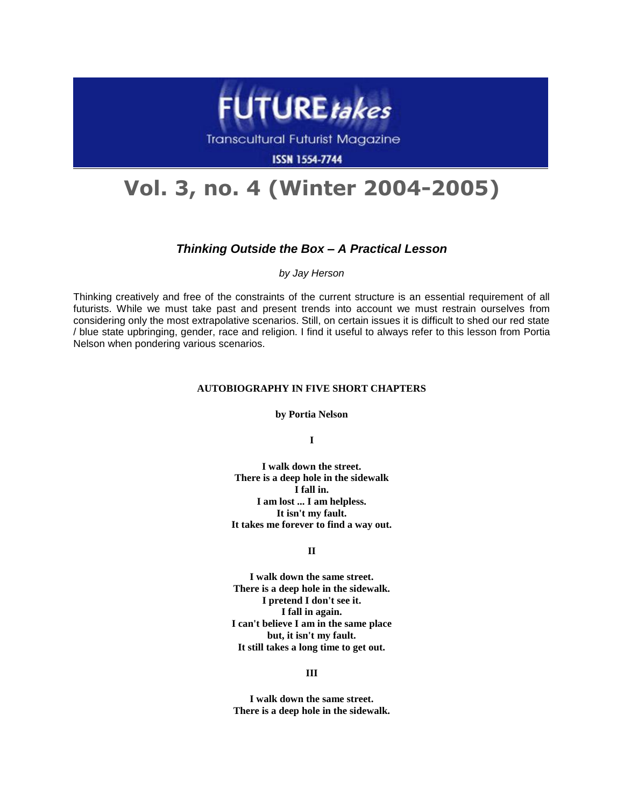

**Transcultural Futurist Magazine** 

**ISSN 1554-7744** 

# **Vol. 3, no. 4 (Winter 2004-2005)**

## *Thinking Outside the Box – A Practical Lesson*

*by Jay Herson*

Thinking creatively and free of the constraints of the current structure is an essential requirement of all futurists. While we must take past and present trends into account we must restrain ourselves from considering only the most extrapolative scenarios. Still, on certain issues it is difficult to shed our red state / blue state upbringing, gender, race and religion. I find it useful to always refer to this lesson from Portia Nelson when pondering various scenarios.

### **AUTOBIOGRAPHY IN FIVE SHORT CHAPTERS**

**by Portia Nelson**

**I** 

**I walk down the street. There is a deep hole in the sidewalk I fall in. I am lost ... I am helpless. It isn't my fault. It takes me forever to find a way out.** 

### **II**

**I walk down the same street. There is a deep hole in the sidewalk. I pretend I don't see it. I fall in again. I can't believe I am in the same place but, it isn't my fault. It still takes a long time to get out.** 

#### **III**

**I walk down the same street. There is a deep hole in the sidewalk.**